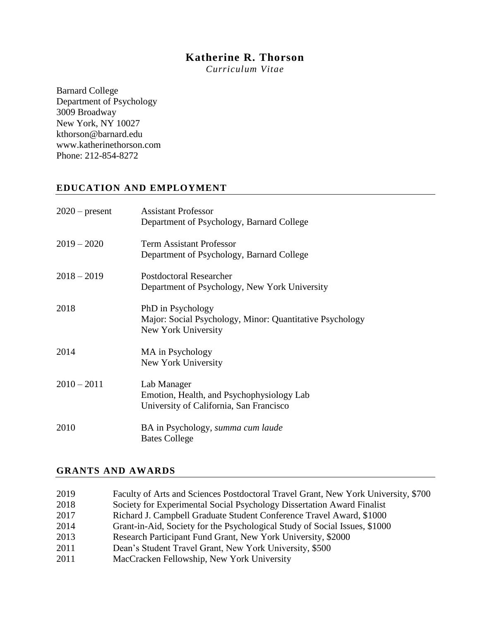# **Katherine R. Thorson**

*Curriculum Vitae*

Barnard College Department of Psychology 3009 Broadway New York, NY 10027 kthorson@barnard.edu www.katherinethorson.com Phone: 212-854-8272

# **EDUCATION AND EMPLOYMENT**

| $2020$ – present | <b>Assistant Professor</b><br>Department of Psychology, Barnard College                              |
|------------------|------------------------------------------------------------------------------------------------------|
| $2019 - 2020$    | <b>Term Assistant Professor</b><br>Department of Psychology, Barnard College                         |
| $2018 - 2019$    | Postdoctoral Researcher<br>Department of Psychology, New York University                             |
| 2018             | PhD in Psychology<br>Major: Social Psychology, Minor: Quantitative Psychology<br>New York University |
| 2014             | MA in Psychology<br>New York University                                                              |
| $2010 - 2011$    | Lab Manager<br>Emotion, Health, and Psychophysiology Lab<br>University of California, San Francisco  |
| 2010             | BA in Psychology, summa cum laude<br><b>Bates College</b>                                            |

#### **GRANTS AND AWARDS**

| 2019 | Faculty of Arts and Sciences Postdoctoral Travel Grant, New York University, \$700 |
|------|------------------------------------------------------------------------------------|
| 2018 | Society for Experimental Social Psychology Dissertation Award Finalist             |
| 2017 | Richard J. Campbell Graduate Student Conference Travel Award, \$1000               |
| 2014 | Grant-in-Aid, Society for the Psychological Study of Social Issues, \$1000         |
| 2013 | Research Participant Fund Grant, New York University, \$2000                       |
| 2011 | Dean's Student Travel Grant, New York University, \$500                            |
| 2011 | MacCracken Fellowship, New York University                                         |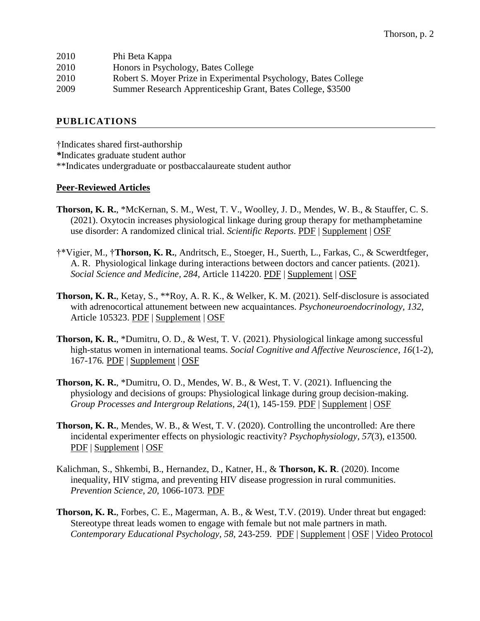| 2010 | Phi Beta Kappa                                                  |
|------|-----------------------------------------------------------------|
| 2010 | Honors in Psychology, Bates College                             |
| 2010 | Robert S. Moyer Prize in Experimental Psychology, Bates College |
| 2009 | Summer Research Apprenticeship Grant, Bates College, \$3500     |
|      |                                                                 |

#### **PUBLICATIONS**

†Indicates shared first-authorship *\**Indicates graduate student author \*\*Indicates undergraduate or postbaccalaureate student author

#### **Peer-Reviewed Articles**

- **Thorson, K. R.**, \*McKernan, S. M., West, T. V., Woolley, J. D., Mendes, W. B., & Stauffer, C. S. (2021). Oxytocin increases physiological linkage during group therapy for methamphetamine use disorder: A randomized clinical trial. *Scientific Reports*. [PDF](https://6bc772e3-38d9-4695-9fce-9ea77ec49029.filesusr.com/ugd/f91562_aaef912adb2d4ee7bfa6be360b4fa194.pdf) | [Supplement](https://6bc772e3-38d9-4695-9fce-9ea77ec49029.filesusr.com/ugd/f91562_fd47ff6020714b65bebe1647740a7d8b.pdf) | [OSF](https://osf.io/8fhma/)
- †\*Vigier, M., †**Thorson, K. R.**, Andritsch, E., Stoeger, H., Suerth, L., Farkas, C., & Scwerdtfeger, A. R. Physiological linkage during interactions between doctors and cancer patients. (2021). *Social Science and Medicine, 284,* Article 114220. [PDF](https://6bc772e3-38d9-4695-9fce-9ea77ec49029.filesusr.com/ugd/f91562_7064591d87b5472ebc809366e7572a66.pdf) | [Supplement](https://6bc772e3-38d9-4695-9fce-9ea77ec49029.filesusr.com/ugd/f91562_d8376c791a984ec7b9b867c2716d880d.pdf) | [OSF](https://osf.io/cpejn/)
- **Thorson, K. R.**, Ketay, S., \*\*Roy, A. R. K., & Welker, K. M. (2021). Self-disclosure is associated with adrenocortical attunement between new acquaintances. *Psychoneuroendocrinology, 132*, Article 105323. [PDF](https://6bc772e3-38d9-4695-9fce-9ea77ec49029.filesusr.com/ugd/f91562_8a4033a5f77a41d7a08ee7df5efe118e.pdf) | [Supplement](https://6bc772e3-38d9-4695-9fce-9ea77ec49029.filesusr.com/ugd/f91562_320c3d75db764e2c9dd249be54409e19.docx?dn=Thorson%20Ketay%20Roy%20Welker%202021%20Supplement.pdf.docx) | [OSF](https://osf.io/j4g29/)
- **Thorson, K. R.**, \*Dumitru, O. D., & West, T. V. (2021). Physiological linkage among successful high-status women in international teams. *Social Cognitive and Affective Neuroscience, 16*(1-2), 167-176*.* [PDF](https://6bc772e3-38d9-4695-9fce-9ea77ec49029.filesusr.com/ugd/f91562_87bc8bcec31a4ee5a3152bed3dfe97fc.pdf) | [Supplement](https://6bc772e3-38d9-4695-9fce-9ea77ec49029.filesusr.com/ugd/f91562_5fe768ca6d76462b969f10223e4203d6.pdf) | [OSF](https://osf.io/f75ej/)
- **Thorson, K. R.**, \*Dumitru, O. D., Mendes, W. B., & West, T. V. (2021). Influencing the physiology and decisions of groups: Physiological linkage during group decision-making. *Group Processes and Intergroup Relations, 24*(1), 145-159. [PDF](https://6bc772e3-38d9-4695-9fce-9ea77ec49029.filesusr.com/ugd/f91562_3ded6fb4d5c04359ba78aeba9ac3ebdf.pdf) | [Supplement](https://6bc772e3-38d9-4695-9fce-9ea77ec49029.filesusr.com/ugd/f91562_cb6967416b474bceb4932ef867e75f2c.pdf) | [OSF](https://osf.io/xu6ep/)
- **Thorson, K. R.**, Mendes, W. B., & West, T. V. (2020). Controlling the uncontrolled: Are there incidental experimenter effects on physiologic reactivity? *Psychophysiology, 57*(3), e13500*.*  [PDF](https://6bc772e3-38d9-4695-9fce-9ea77ec49029.filesusr.com/ugd/f91562_f9aa902ad35c4dedbd999ead5e216870.pdf) | [Supplement](https://docs.wixstatic.com/ugd/f91562_6e113e8e9ab44660bd45b580832e0e4d.pdf) | [OSF](https://osf.io/egqvk/)
- Kalichman, S., Shkembi, B., Hernandez, D., Katner, H., & **Thorson, K. R**. (2020). Income inequality, HIV stigma, and preventing HIV disease progression in rural communities. *Prevention Science*, *20*, 1066-1073*.* [PDF](https://6bc772e3-38d9-4695-9fce-9ea77ec49029.filesusr.com/ugd/f91562_79f872f03e564c37b539f164edf9dbee.pdf)
- **Thorson, K. R.**, Forbes, C. E., Magerman, A. B., & West, T.V. (2019). Under threat but engaged: Stereotype threat leads women to engage with female but not male partners in math. *Contemporary Educational Psychology, 58*, 243-259. [PDF](https://docs.wixstatic.com/ugd/f91562_03ee722d0c8e4c0886875d41c894010e.pdf) | [Supplement](https://docs.wixstatic.com/ugd/f91562_65a8432f344d40de992979637bff17fe.pdf) | [OSF](https://osf.io/gpw4j/) | [Video Protocol](https://youtu.be/mFakTnx5vuY)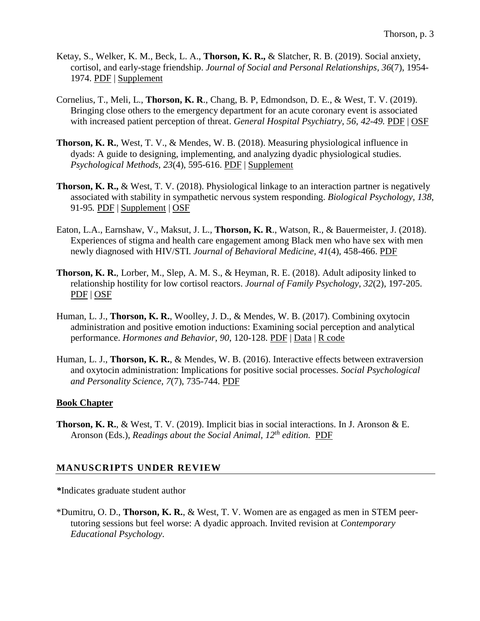- Ketay, S., Welker, K. M., Beck, L. A., **Thorson, K. R.,** & Slatcher, R. B. (2019). Social anxiety, cortisol, and early-stage friendship. *Journal of Social and Personal Relationships, 36*(7), 1954- 1974. [PDF](https://docs.wixstatic.com/ugd/f91562_501066f697524866ae1d834b60f8d03f.pdf) | [Supplement](https://docs.wixstatic.com/ugd/f91562_b36360d3d4214fab9296de20ced749e7.pdf)
- Cornelius, T., Meli, L., **Thorson, K. R**., Chang, B. P, Edmondson, D. E., & West, T. V. (2019). Bringing close others to the emergency department for an acute coronary event is associated with increased patient perception of threat. *General Hospital Psychiatry, 56, 42-49.* [PDF](https://docs.wixstatic.com/ugd/f91562_ac31121041604e8bb49f28fb3fadd0b9.pdf) | [OSF](https://osf.io/cqd3w/)
- **Thorson, K. R.**, West, T. V., & Mendes, W. B. (2018). Measuring physiological influence in dyads: A guide to designing, implementing, and analyzing dyadic physiological studies. *Psychological Methods, 23*(4), 595-616. [PDF](https://docs.wixstatic.com/ugd/f91562_9bb7c07578734b26a743ca9a22b689a7.pdf) | [Supplement](https://docs.wixstatic.com/ugd/f91562_ad1eb9e331aa4c6086d4c75c6c741021.pdf)
- **Thorson, K. R.,** & West, T. V. (2018). Physiological linkage to an interaction partner is negatively associated with stability in sympathetic nervous system responding. *Biological Psychology, 138*, 91-95*.* [PDF](https://docs.wixstatic.com/ugd/f91562_7468d57d43a64886b3040b55999fc4e7.pdf) | [Supplement](https://docs.wixstatic.com/ugd/f91562_84a0fc9eaaef421ebf7d8ad3439ad8f6.pdf) | [OSF](https://osf.io/6s87a/)
- Eaton, L.A., Earnshaw, V., Maksut, J. L., **Thorson, K. R**., Watson, R., & Bauermeister, J. (2018). Experiences of stigma and health care engagement among Black men who have sex with men newly diagnosed with HIV/STI. *Journal of Behavioral Medicine, 41*(4), 458-466. [PDF](https://docs.wixstatic.com/ugd/f91562_2a4577162f3d419984590f462a3ae678.pdf)
- **Thorson, K. R.**, Lorber, M., Slep, A. M. S., & Heyman, R. E. (2018). Adult adiposity linked to relationship hostility for low cortisol reactors. *Journal of Family Psychology, 32*(2), 197-205. [PDF](https://docs.wixstatic.com/ugd/f91562_c20204ce669e4378bd1b3b3618c4099a.pdf) | [OSF](https://osf.io/zq6tr/)
- Human, L. J., **Thorson, K. R.**, Woolley, J. D., & Mendes, W. B. (2017). Combining oxytocin administration and positive emotion inductions: Examining social perception and analytical performance. *Hormones and Behavior, 90*, 120-128. [PDF](https://docs.wixstatic.com/ugd/f91562_76d964dd2806491d85132799580c33e3.pdf) | [Data](https://drive.google.com/file/d/0BxjaLu4BlSNqYnpweGZ1clNDSFU/view?usp=sharing) | R [code](https://drive.google.com/file/d/0BxjaLu4BlSNqWmNwX1hxdDlqRzQ/view?usp=sharing)
- Human, L. J., **Thorson, K. R.**, & Mendes, W. B. (2016). Interactive effects between extraversion and oxytocin administration: Implications for positive social processes. *Social Psychological and Personality Science, 7*(7), 735-744. [PDF](https://docs.wixstatic.com/ugd/f91562_02c4411aab404b82bc56b955776fd5ab.pdf)

### **Book Chapter**

**Thorson, K. R.**, & West, T. V. (2019). Implicit bias in social interactions. In J. Aronson & E. Aronson (Eds.), *Readings about the Social Animal, 12th edition.* [PDF](https://docs.wixstatic.com/ugd/f91562_48c461c325af4952bc311845a9cc6831.pdf)

## **MANUSCRIPTS UNDER REVIEW**

*\**Indicates graduate student author

\*Dumitru, O. D., **Thorson, K. R.**, & West, T. V. Women are as engaged as men in STEM peertutoring sessions but feel worse: A dyadic approach. Invited revision at *Contemporary Educational Psychology*.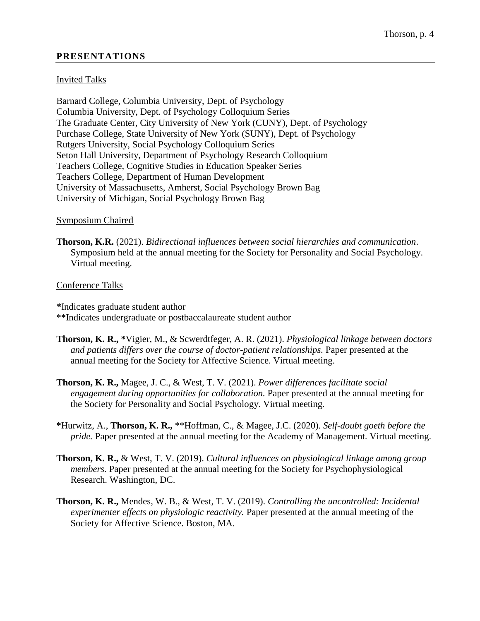### **PRESENTATIONS**

#### Invited Talks

Barnard College, Columbia University, Dept. of Psychology Columbia University, Dept. of Psychology Colloquium Series The Graduate Center, City University of New York (CUNY), Dept. of Psychology Purchase College, State University of New York (SUNY), Dept. of Psychology Rutgers University, Social Psychology Colloquium Series Seton Hall University, Department of Psychology Research Colloquium Teachers College, Cognitive Studies in Education Speaker Series Teachers College, Department of Human Development University of Massachusetts, Amherst, Social Psychology Brown Bag University of Michigan, Social Psychology Brown Bag

#### Symposium Chaired

**Thorson, K.R.** (2021). *Bidirectional influences between social hierarchies and communication*. Symposium held at the annual meeting for the Society for Personality and Social Psychology. Virtual meeting.

#### Conference Talks

*\**Indicates graduate student author \*\*Indicates undergraduate or postbaccalaureate student author

- **Thorson, K. R., \***Vigier, M., & Scwerdtfeger, A. R. (2021). *Physiological linkage between doctors and patients differs over the course of doctor-patient relationships.* Paper presented at the annual meeting for the Society for Affective Science. Virtual meeting.
- **Thorson, K. R.,** Magee, J. C., & West, T. V. (2021). *Power differences facilitate social engagement during opportunities for collaboration.* Paper presented at the annual meeting for the Society for Personality and Social Psychology. Virtual meeting.
- **\***Hurwitz, A., **Thorson, K. R.,** \*\*Hoffman, C., & Magee, J.C. (2020). *Self-doubt goeth before the pride.* Paper presented at the annual meeting for the Academy of Management. Virtual meeting.
- **Thorson, K. R.,** & West, T. V. (2019). *Cultural influences on physiological linkage among group members.* Paper presented at the annual meeting for the Society for Psychophysiological Research. Washington, DC.
- **Thorson, K. R.,** Mendes, W. B., & West, T. V. (2019). *Controlling the uncontrolled: Incidental experimenter effects on physiologic reactivity.* Paper presented at the annual meeting of the Society for Affective Science. Boston, MA.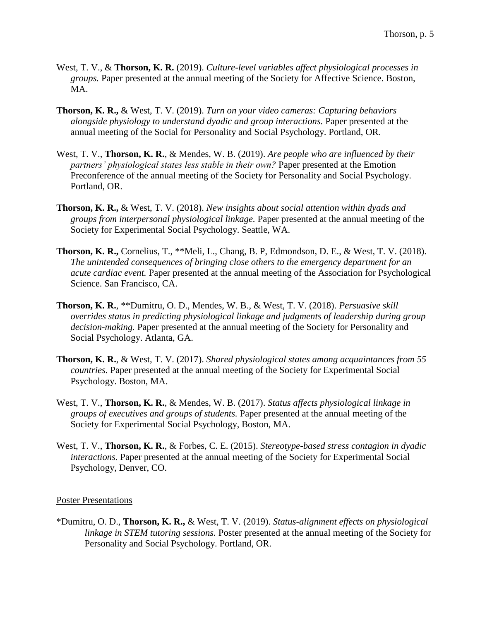- West, T. V., & **Thorson, K. R.** (2019). *Culture-level variables affect physiological processes in groups.* Paper presented at the annual meeting of the Society for Affective Science. Boston, MA.
- **Thorson, K. R.,** & West, T. V. (2019). *Turn on your video cameras: Capturing behaviors alongside physiology to understand dyadic and group interactions.* Paper presented at the annual meeting of the Social for Personality and Social Psychology. Portland, OR.
- West, T. V., **Thorson, K. R.**, & Mendes, W. B. (2019). *Are people who are influenced by their partners' physiological states less stable in their own?* Paper presented at the Emotion Preconference of the annual meeting of the Society for Personality and Social Psychology. Portland, OR.
- **Thorson, K. R.,** & West, T. V. (2018). *New insights about social attention within dyads and groups from interpersonal physiological linkage.* Paper presented at the annual meeting of the Society for Experimental Social Psychology. Seattle, WA.
- **Thorson, K. R.,** Cornelius, T., \*\*Meli, L., Chang, B. P, Edmondson, D. E., & West, T. V. (2018). *The unintended consequences of bringing close others to the emergency department for an acute cardiac event.* Paper presented at the annual meeting of the Association for Psychological Science. San Francisco, CA.
- **Thorson, K. R.**, \*\*Dumitru, O. D., Mendes, W. B., & West, T. V. (2018). *Persuasive skill overrides status in predicting physiological linkage and judgments of leadership during group decision-making.* Paper presented at the annual meeting of the Society for Personality and Social Psychology. Atlanta, GA.
- **Thorson, K. R.**, & West, T. V. (2017). *Shared physiological states among acquaintances from 55 countries.* Paper presented at the annual meeting of the Society for Experimental Social Psychology. Boston, MA.
- West, T. V., **Thorson, K. R.**, & Mendes, W. B. (2017). *Status affects physiological linkage in groups of executives and groups of students.* Paper presented at the annual meeting of the Society for Experimental Social Psychology, Boston, MA.
- West, T. V., **Thorson, K. R.**, & Forbes, C. E. (2015). *Stereotype-based stress contagion in dyadic interactions.* Paper presented at the annual meeting of the Society for Experimental Social Psychology, Denver, CO.

### Poster Presentations

\*Dumitru, O. D., **Thorson, K. R.,** & West, T. V. (2019). *Status-alignment effects on physiological linkage in STEM tutoring sessions.* Poster presented at the annual meeting of the Society for Personality and Social Psychology. Portland, OR.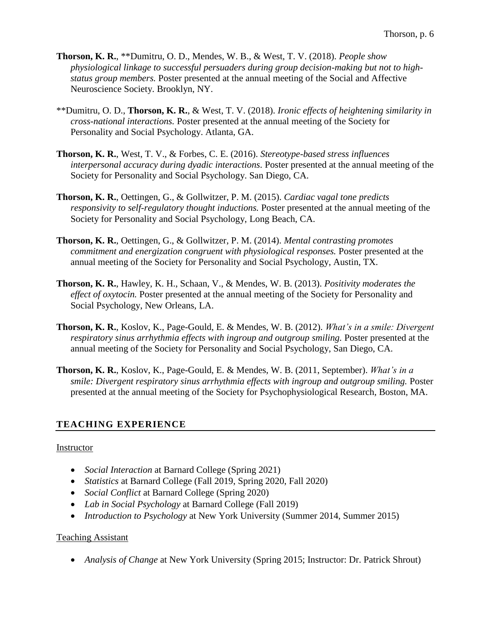- **Thorson, K. R.**, \*\*Dumitru, O. D., Mendes, W. B., & West, T. V. (2018). *People show physiological linkage to successful persuaders during group decision-making but not to highstatus group members.* Poster presented at the annual meeting of the Social and Affective Neuroscience Society. Brooklyn, NY.
- \*\*Dumitru, O. D., **Thorson, K. R.**, & West, T. V. (2018). *Ironic effects of heightening similarity in cross-national interactions.* Poster presented at the annual meeting of the Society for Personality and Social Psychology. Atlanta, GA.
- **Thorson, K. R.**, West, T. V., & Forbes, C. E. (2016). *Stereotype-based stress influences interpersonal accuracy during dyadic interactions.* Poster presented at the annual meeting of the Society for Personality and Social Psychology. San Diego, CA.
- **Thorson, K. R.**, Oettingen, G., & Gollwitzer, P. M. (2015). *Cardiac vagal tone predicts responsivity to self-regulatory thought inductions.* Poster presented at the annual meeting of the Society for Personality and Social Psychology, Long Beach, CA.
- **Thorson, K. R.**, Oettingen, G., & Gollwitzer, P. M. (2014). *Mental contrasting promotes commitment and energization congruent with physiological responses.* Poster presented at the annual meeting of the Society for Personality and Social Psychology, Austin, TX.
- **Thorson, K. R.**, Hawley, K. H., Schaan, V., & Mendes, W. B. (2013). *Positivity moderates the effect of oxytocin.* Poster presented at the annual meeting of the Society for Personality and Social Psychology, New Orleans, LA.
- **Thorson, K. R.**, Koslov, K., Page-Gould, E. & Mendes, W. B. (2012). *What's in a smile: Divergent respiratory sinus arrhythmia effects with ingroup and outgroup smiling.* Poster presented at the annual meeting of the Society for Personality and Social Psychology, San Diego, CA.
- **Thorson, K. R.**, Koslov, K., Page-Gould, E. & Mendes, W. B. (2011, September). *What's in a smile: Divergent respiratory sinus arrhythmia effects with ingroup and outgroup smiling.* Poster presented at the annual meeting of the Society for Psychophysiological Research, Boston, MA.

# **TEACHING EXPERIENCE**

### **Instructor**

- *Social Interaction* at Barnard College (Spring 2021)
- *Statistics* at Barnard College (Fall 2019, Spring 2020, Fall 2020)
- *Social Conflict* at Barnard College (Spring 2020)
- *Lab in Social Psychology* at Barnard College (Fall 2019)
- *Introduction to Psychology* at New York University (Summer 2014, Summer 2015)

## Teaching Assistant

• *Analysis of Change* at New York University (Spring 2015; Instructor: Dr. Patrick Shrout)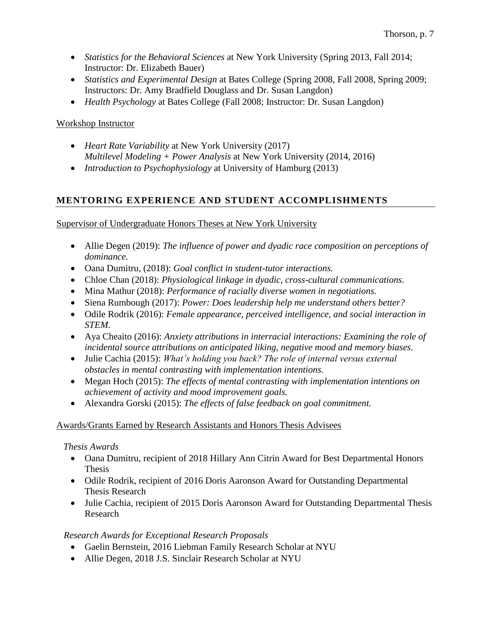- *Statistics for the Behavioral Sciences* at New York University (Spring 2013, Fall 2014; Instructor: Dr. Elizabeth Bauer)
- *Statistics and Experimental Design* at Bates College (Spring 2008, Fall 2008, Spring 2009; Instructors: Dr. Amy Bradfield Douglass and Dr. Susan Langdon)
- *Health Psychology* at Bates College (Fall 2008; Instructor: Dr. Susan Langdon)

# Workshop Instructor

- *Heart Rate Variability* at New York University (2017) *Multilevel Modeling + Power Analysis* at New York University (2014, 2016)
- *Introduction to Psychophysiology* at University of Hamburg (2013)

# **MENTORING EXPERIENCE AND STUDENT ACCOMPLISHMENTS**

Supervisor of Undergraduate Honors Theses at New York University

- Allie Degen (2019): *The influence of power and dyadic race composition on perceptions of dominance.*
- Oana Dumitru, (2018): *Goal conflict in student-tutor interactions.*
- Chloe Chan (2018): *Physiological linkage in dyadic, cross-cultural communications.*
- Mina Mathur (2018): *Performance of racially diverse women in negotiations.*
- Siena Rumbough (2017): *Power: Does leadership help me understand others better?*
- Odile Rodrik (2016): *Female appearance, perceived intelligence, and social interaction in STEM*.
- Aya Cheaito (2016): *Anxiety attributions in interracial interactions: Examining the role of incidental source attributions on anticipated liking, negative mood and memory biases.*
- Julie Cachia (2015): *What's holding you back? The role of internal versus external obstacles in mental contrasting with implementation intentions.*
- Megan Hoch (2015): *The effects of mental contrasting with implementation intentions on achievement of activity and mood improvement goals.*
- Alexandra Gorski (2015): *The effects of false feedback on goal commitment.*

# Awards/Grants Earned by Research Assistants and Honors Thesis Advisees

# *Thesis Awards*

- Oana Dumitru, recipient of 2018 Hillary Ann Citrin Award for Best Departmental Honors Thesis
- Odile Rodrik, recipient of 2016 Doris Aaronson Award for Outstanding Departmental Thesis Research
- Julie Cachia, recipient of 2015 Doris Aaronson Award for Outstanding Departmental Thesis Research

# *Research Awards for Exceptional Research Proposals*

- Gaelin Bernstein, 2016 Liebman Family Research Scholar at NYU
- Allie Degen, 2018 J.S. Sinclair Research Scholar at NYU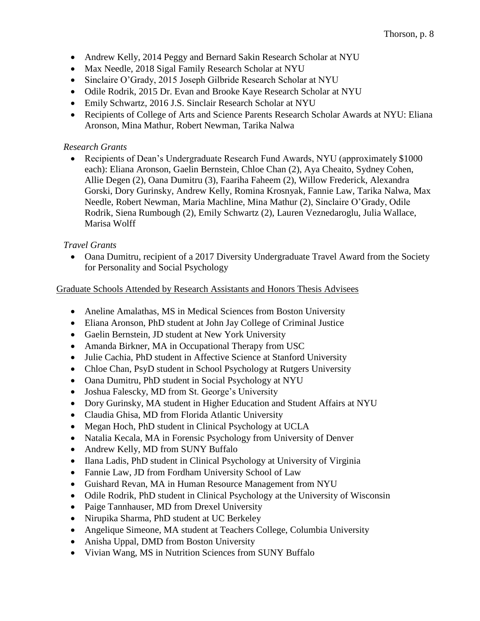- Andrew Kelly, 2014 Peggy and Bernard Sakin Research Scholar at NYU
- Max Needle, 2018 Sigal Family Research Scholar at NYU
- Sinclaire O'Grady, 2015 Joseph Gilbride Research Scholar at NYU
- Odile Rodrik, 2015 Dr. Evan and Brooke Kaye Research Scholar at NYU
- Emily Schwartz, 2016 J.S. Sinclair Research Scholar at NYU
- Recipients of College of Arts and Science Parents Research Scholar Awards at NYU: Eliana Aronson, Mina Mathur, Robert Newman, Tarika Nalwa

## *Research Grants*

• Recipients of Dean's Undergraduate Research Fund Awards, NYU (approximately \$1000) each): Eliana Aronson, Gaelin Bernstein, Chloe Chan (2), Aya Cheaito, Sydney Cohen, Allie Degen (2), Oana Dumitru (3), Faariha Faheem (2), Willow Frederick, Alexandra Gorski, Dory Gurinsky, Andrew Kelly, Romina Krosnyak, Fannie Law, Tarika Nalwa, Max Needle, Robert Newman, Maria Machline, Mina Mathur (2), Sinclaire O'Grady, Odile Rodrik, Siena Rumbough (2), Emily Schwartz (2), Lauren Veznedaroglu, Julia Wallace, Marisa Wolff

## *Travel Grants*

• Oana Dumitru, recipient of a 2017 Diversity Undergraduate Travel Award from the Society for Personality and Social Psychology

### Graduate Schools Attended by Research Assistants and Honors Thesis Advisees

- Aneline Amalathas, MS in Medical Sciences from Boston University
- Eliana Aronson, PhD student at John Jay College of Criminal Justice
- Gaelin Bernstein, JD student at New York University
- Amanda Birkner, MA in Occupational Therapy from USC
- Julie Cachia, PhD student in Affective Science at Stanford University
- Chloe Chan, PsyD student in School Psychology at Rutgers University
- Oana Dumitru, PhD student in Social Psychology at NYU
- Joshua Falescky, MD from St. George's University
- Dory Gurinsky, MA student in Higher Education and Student Affairs at NYU
- Claudia Ghisa, MD from Florida Atlantic University
- Megan Hoch, PhD student in Clinical Psychology at UCLA
- Natalia Kecala, MA in Forensic Psychology from University of Denver
- Andrew Kelly, MD from SUNY Buffalo
- Ilana Ladis, PhD student in Clinical Psychology at University of Virginia
- Fannie Law, JD from Fordham University School of Law
- Guishard Revan, MA in Human Resource Management from NYU
- Odile Rodrik, PhD student in Clinical Psychology at the University of Wisconsin
- Paige Tannhauser, MD from Drexel University
- Nirupika Sharma, PhD student at UC Berkeley
- Angelique Simeone, MA student at Teachers College, Columbia University
- Anisha Uppal, DMD from Boston University
- Vivian Wang, MS in Nutrition Sciences from SUNY Buffalo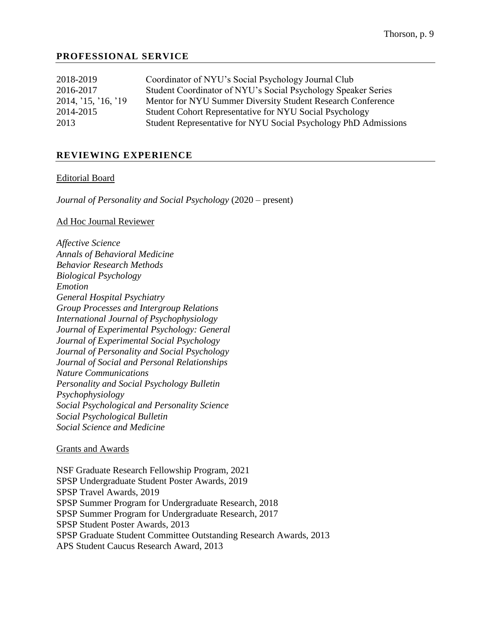## **PROFESSIONAL SERVICE**

| 2018-2019           | Coordinator of NYU's Social Psychology Journal Club             |
|---------------------|-----------------------------------------------------------------|
| 2016-2017           | Student Coordinator of NYU's Social Psychology Speaker Series   |
| 2014, '15, '16, '19 | Mentor for NYU Summer Diversity Student Research Conference     |
| 2014-2015           | Student Cohort Representative for NYU Social Psychology         |
| 2013                | Student Representative for NYU Social Psychology PhD Admissions |
|                     |                                                                 |

### **REVIEWING EXPERIENCE**

#### Editorial Board

*Journal of Personality and Social Psychology* (2020 – present)

#### Ad Hoc Journal Reviewer

*Affective Science Annals of Behavioral Medicine Behavior Research Methods Biological Psychology Emotion General Hospital Psychiatry Group Processes and Intergroup Relations International Journal of Psychophysiology Journal of Experimental Psychology: General Journal of Experimental Social Psychology Journal of Personality and Social Psychology Journal of Social and Personal Relationships Nature Communications Personality and Social Psychology Bulletin Psychophysiology Social Psychological and Personality Science Social Psychological Bulletin Social Science and Medicine*

#### Grants and Awards

NSF Graduate Research Fellowship Program, 2021 SPSP Undergraduate Student Poster Awards, 2019 SPSP Travel Awards, 2019 SPSP Summer Program for Undergraduate Research, 2018 SPSP Summer Program for Undergraduate Research, 2017 SPSP Student Poster Awards, 2013 SPSP Graduate Student Committee Outstanding Research Awards, 2013 APS Student Caucus Research Award, 2013